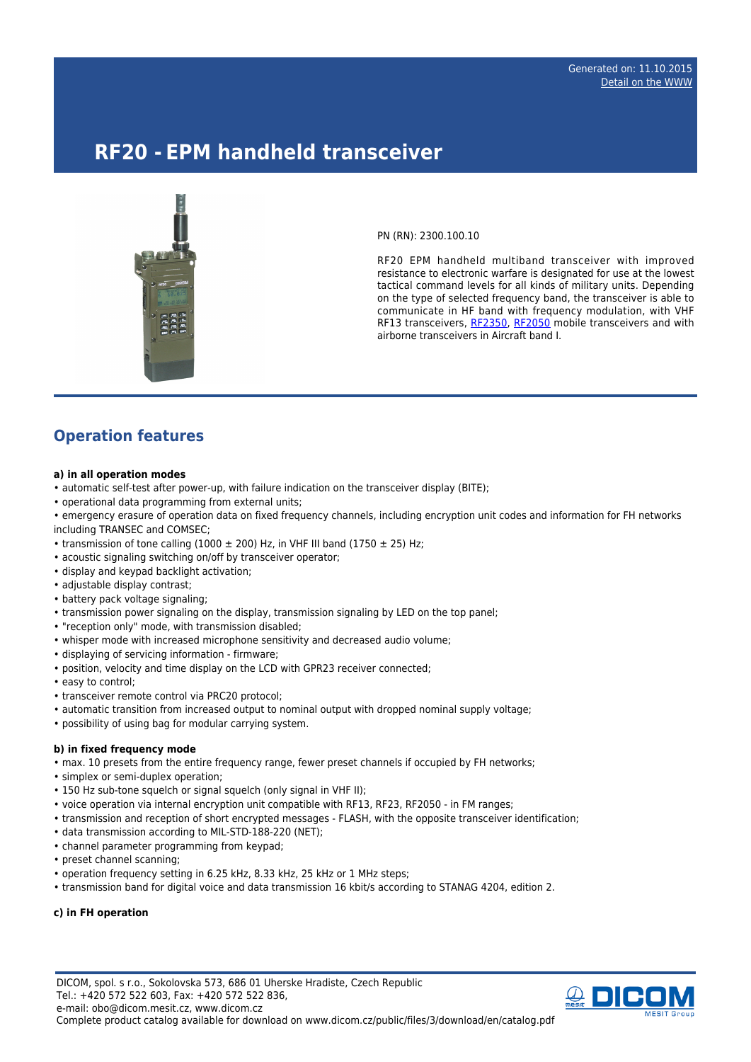# **RF20 - EPM handheld transceiver**



PN (RN): 2300.100.10

RF20 EPM handheld multiband transceiver with improved resistance to electronic warfare is designated for use at the lowest tactical command levels for all kinds of military units. Depending on the type of selected frequency band, the transceiver is able to communicate in HF band with frequency modulation, with VHF RF13 transceivers, [RF2350](http://www.dicom.cz/en/product/1775-epm-mobile-transceiver), [RF2050](http://www.dicom.cz/en/product/932-epm-mobile-transceiver) mobile transceivers and with airborne transceivers in Aircraft band I.

# **Operation features**

#### **a) in all operation modes**

- automatic self-test after power-up, with failure indication on the transceiver display (BITE);
- operational data programming from external units;
- emergency erasure of operation data on fixed frequency channels, including encryption unit codes and information for FH networks including TRANSEC and COMSEC;
- transmission of tone calling (1000  $\pm$  200) Hz, in VHF III band (1750  $\pm$  25) Hz;
- acoustic signaling switching on/off by transceiver operator;
- display and keypad backlight activation;
- adjustable display contrast;
- battery pack voltage signaling:
- transmission power signaling on the display, transmission signaling by LED on the top panel;
- "reception only" mode, with transmission disabled;
- whisper mode with increased microphone sensitivity and decreased audio volume;
- displaying of servicing information firmware;
- position, velocity and time display on the LCD with GPR23 receiver connected;
- easy to control;
- transceiver remote control via PRC20 protocol;
- automatic transition from increased output to nominal output with dropped nominal supply voltage;
- possibility of using bag for modular carrying system.

#### **b) in fixed frequency mode**

- max. 10 presets from the entire frequency range, fewer preset channels if occupied by FH networks;
- simplex or semi-duplex operation;
- 150 Hz sub-tone squelch or signal squelch (only signal in VHF II);
- voice operation via internal encryption unit compatible with RF13, RF23, RF2050 in FM ranges;
- transmission and reception of short encrypted messages FLASH, with the opposite transceiver identification;
- data transmission according to MIL-STD-188-220 (NET);
- channel parameter programming from keypad;
- preset channel scanning;
- operation frequency setting in 6.25 kHz, 8.33 kHz, 25 kHz or 1 MHz steps;
- transmission band for digital voice and data transmission 16 kbit/s according to STANAG 4204, edition 2.

#### **c) in FH operation**

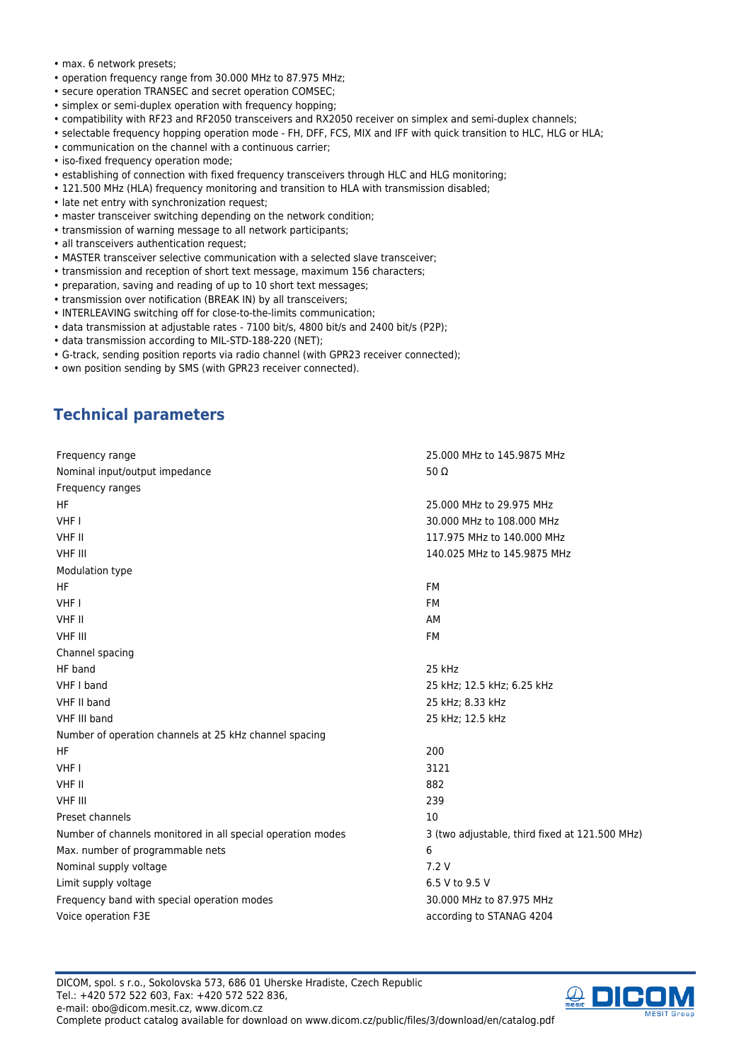- max. 6 network presets;
- operation frequency range from 30.000 MHz to 87.975 MHz;
- secure operation TRANSEC and secret operation COMSEC;
- simplex or semi-duplex operation with frequency hopping;
- compatibility with RF23 and RF2050 transceivers and RX2050 receiver on simplex and semi-duplex channels;
- selectable frequency hopping operation mode FH, DFF, FCS, MIX and IFF with quick transition to HLC, HLG or HLA;
- communication on the channel with a continuous carrier;
- iso-fixed frequency operation mode;
- establishing of connection with fixed frequency transceivers through HLC and HLG monitoring;
- 121.500 MHz (HLA) frequency monitoring and transition to HLA with transmission disabled;
- late net entry with synchronization request;
- master transceiver switching depending on the network condition;
- transmission of warning message to all network participants;
- all transceivers authentication request;
- MASTER transceiver selective communication with a selected slave transceiver;
- transmission and reception of short text message, maximum 156 characters;
- preparation, saving and reading of up to 10 short text messages;
- transmission over notification (BREAK IN) by all transceivers;
- INTERLEAVING switching off for close-to-the-limits communication;
- data transmission at adjustable rates 7100 bit/s, 4800 bit/s and 2400 bit/s (P2P);
- data transmission according to MIL-STD-188-220 (NET);
- G-track, sending position reports via radio channel (with GPR23 receiver connected);
- own position sending by SMS (with GPR23 receiver connected).

## **Technical parameters**

| Frequency range                                             | 25,000 MHz to 145,9875 MHz                     |
|-------------------------------------------------------------|------------------------------------------------|
| Nominal input/output impedance                              | 50 $\Omega$                                    |
| Frequency ranges                                            |                                                |
| <b>HF</b>                                                   | 25,000 MHz to 29,975 MHz                       |
| VHF I                                                       | 30,000 MHz to 108,000 MHz                      |
| <b>VHF II</b>                                               | 117.975 MHz to 140.000 MHz                     |
| <b>VHF III</b>                                              | 140.025 MHz to 145.9875 MHz                    |
| Modulation type                                             |                                                |
| HF.                                                         | <b>FM</b>                                      |
| VHF I                                                       | FM                                             |
| VHF II                                                      | AM                                             |
| <b>VHF III</b>                                              | <b>FM</b>                                      |
| Channel spacing                                             |                                                |
| HF band                                                     | 25 kHz                                         |
| VHF I band                                                  | 25 kHz; 12.5 kHz; 6.25 kHz                     |
| VHF II band                                                 | 25 kHz; 8.33 kHz                               |
| VHF III band                                                | 25 kHz; 12.5 kHz                               |
| Number of operation channels at 25 kHz channel spacing      |                                                |
| <b>HF</b>                                                   | 200                                            |
| VHF I                                                       | 3121                                           |
| VHF II                                                      | 882                                            |
| <b>VHF III</b>                                              | 239                                            |
| Preset channels                                             | 10                                             |
| Number of channels monitored in all special operation modes | 3 (two adjustable, third fixed at 121.500 MHz) |
| Max. number of programmable nets                            | 6                                              |
| Nominal supply voltage                                      | 7.2V                                           |
| Limit supply voltage                                        | 6.5 V to 9.5 V                                 |
| Frequency band with special operation modes                 | 30.000 MHz to 87.975 MHz                       |
| Voice operation F3E                                         | according to STANAG 4204                       |

DICOM, spol. s r.o., Sokolovska 573, 686 01 Uherske Hradiste, Czech Republic Tel.: +420 572 522 603, Fax: +420 572 522 836, e-mail: obo@dicom.mesit.cz, www.dicom.cz Complete product catalog available for download on www.dicom.cz/public/files/3/download/en/catalog.pdf

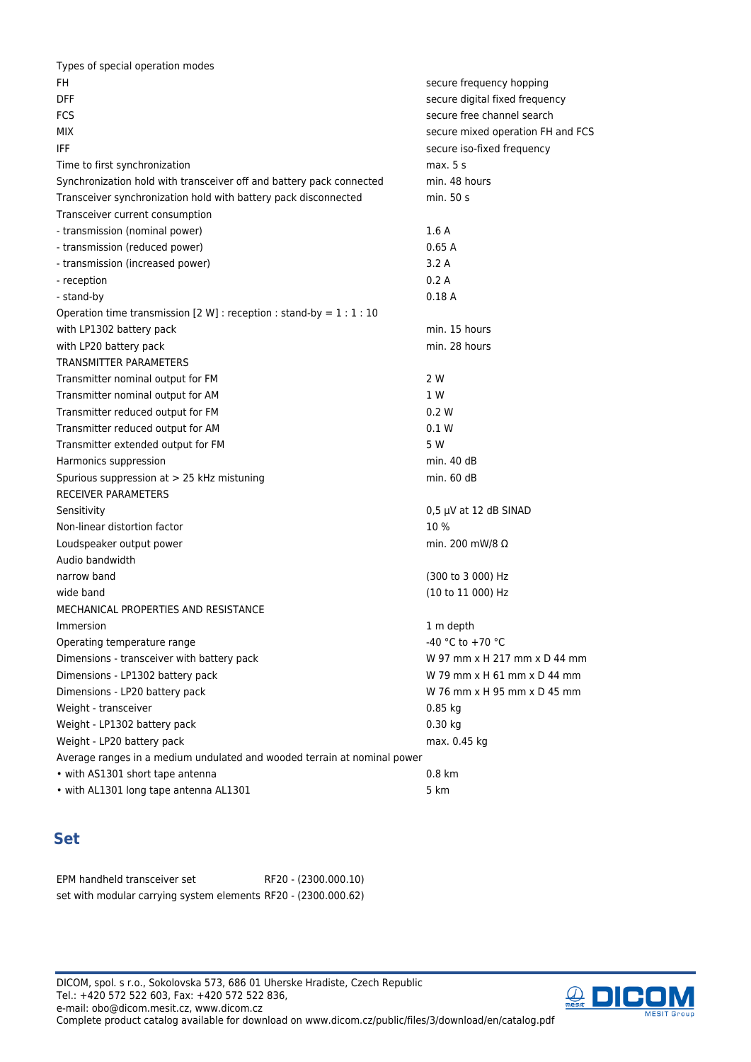| Types of special operation modes                                         |                                   |  |
|--------------------------------------------------------------------------|-----------------------------------|--|
| FH.                                                                      | secure frequency hopping          |  |
| <b>DFF</b>                                                               | secure digital fixed frequency    |  |
| FCS                                                                      | secure free channel search        |  |
| <b>MIX</b>                                                               | secure mixed operation FH and FCS |  |
| IFF                                                                      | secure iso-fixed frequency        |  |
| Time to first synchronization                                            | max. 5s                           |  |
| Synchronization hold with transceiver off and battery pack connected     | min. 48 hours                     |  |
| Transceiver synchronization hold with battery pack disconnected          | min. 50 s                         |  |
| Transceiver current consumption                                          |                                   |  |
| - transmission (nominal power)                                           | 1.6A                              |  |
| - transmission (reduced power)                                           | 0.65A                             |  |
| - transmission (increased power)                                         | 3.2A                              |  |
| - reception                                                              | 0.2A                              |  |
| - stand-by                                                               | 0.18A                             |  |
| Operation time transmission [2 W] : reception : stand-by = $1:1:10$      |                                   |  |
| with LP1302 battery pack                                                 | min. 15 hours                     |  |
| with LP20 battery pack                                                   | min. 28 hours                     |  |
| <b>TRANSMITTER PARAMETERS</b>                                            |                                   |  |
| Transmitter nominal output for FM                                        | 2 W                               |  |
| Transmitter nominal output for AM                                        | 1 W                               |  |
| Transmitter reduced output for FM                                        | 0.2 W                             |  |
| Transmitter reduced output for AM                                        | 0.1 W                             |  |
| Transmitter extended output for FM                                       | 5 W                               |  |
| Harmonics suppression                                                    | min. 40 dB                        |  |
| Spurious suppression at > 25 kHz mistuning                               | min. 60 dB                        |  |
| <b>RECEIVER PARAMETERS</b>                                               |                                   |  |
| Sensitivity                                                              | $0,5 \mu V$ at 12 dB SINAD        |  |
| Non-linear distortion factor                                             | 10 %                              |  |
| Loudspeaker output power                                                 | min. 200 mW/8 $\Omega$            |  |
| Audio bandwidth                                                          |                                   |  |
| narrow band                                                              | (300 to 3 000) Hz                 |  |
| wide band                                                                | (10 to 11 000) Hz                 |  |
| MECHANICAL PROPERTIES AND RESISTANCE                                     |                                   |  |
| Immersion                                                                | 1 m depth                         |  |
| Operating temperature range                                              | -40 °C to +70 °C                  |  |
| Dimensions - transceiver with battery pack                               | W 97 mm x H 217 mm x D 44 mm      |  |
| Dimensions - LP1302 battery pack                                         | W 79 mm x H 61 mm x D 44 mm       |  |
| Dimensions - LP20 battery pack                                           | W 76 mm x H 95 mm x D 45 mm       |  |
| Weight - transceiver                                                     | 0.85 kg                           |  |
| Weight - LP1302 battery pack                                             | $0.30$ kg                         |  |
| Weight - LP20 battery pack                                               | max. 0.45 kg                      |  |
| Average ranges in a medium undulated and wooded terrain at nominal power |                                   |  |
| • with AS1301 short tape antenna                                         | $0.8$ km                          |  |
| • with AL1301 long tape antenna AL1301                                   | 5 km                              |  |
|                                                                          |                                   |  |

# **Set**

EPM handheld transceiver set RF20 - (2300.000.10) set with modular carrying system elements RF20 - (2300.000.62)